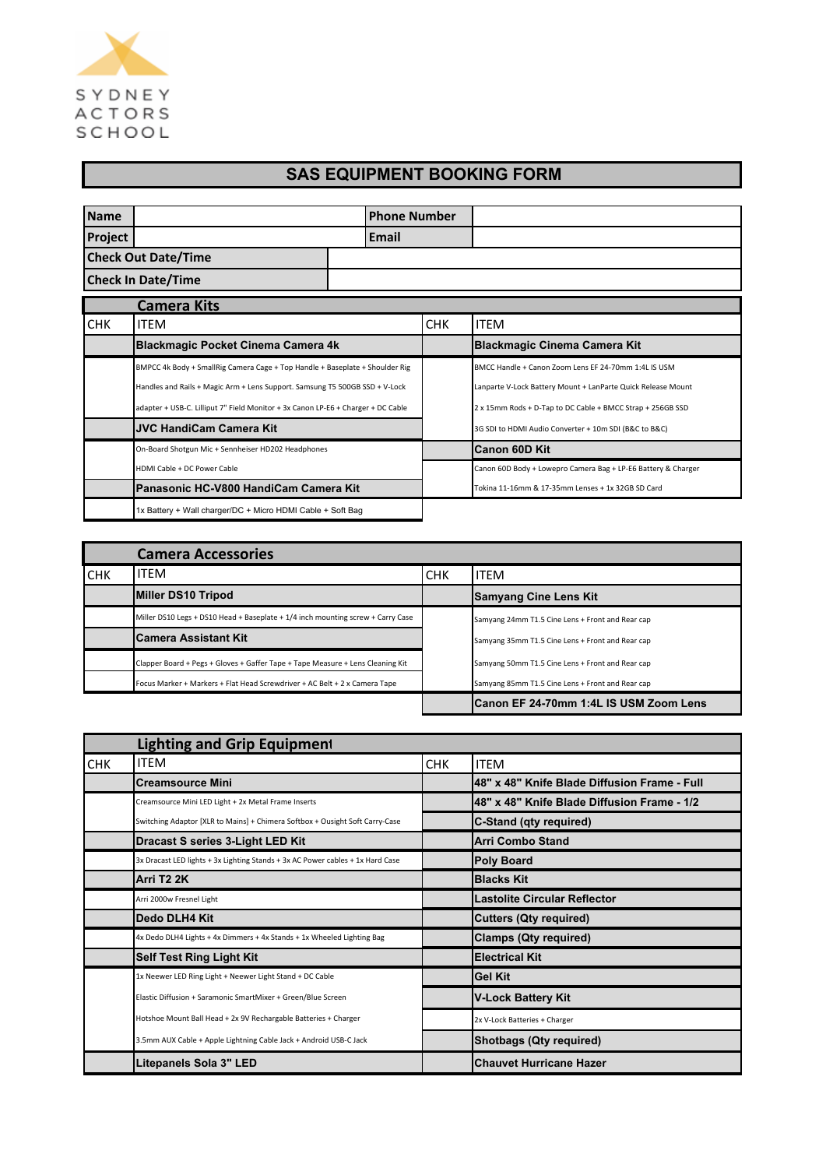

## **SAS EQUIPMENT BOOKING FORM**

| <b>Name</b>    |                                                                                                                                                                                                                                                 | <b>Phone Number</b> |            |                                                                                                                                                                                    |
|----------------|-------------------------------------------------------------------------------------------------------------------------------------------------------------------------------------------------------------------------------------------------|---------------------|------------|------------------------------------------------------------------------------------------------------------------------------------------------------------------------------------|
| <b>Project</b> |                                                                                                                                                                                                                                                 | Email               |            |                                                                                                                                                                                    |
|                | <b>Check Out Date/Time</b>                                                                                                                                                                                                                      |                     |            |                                                                                                                                                                                    |
|                | <b>Check In Date/Time</b>                                                                                                                                                                                                                       |                     |            |                                                                                                                                                                                    |
|                | <b>Camera Kits</b>                                                                                                                                                                                                                              |                     |            |                                                                                                                                                                                    |
| <b>CHK</b>     | <b>ITEM</b>                                                                                                                                                                                                                                     |                     | <b>CHK</b> | <b>ITEM</b>                                                                                                                                                                        |
|                | <b>Blackmagic Pocket Cinema Camera 4k</b>                                                                                                                                                                                                       |                     |            | <b>Blackmagic Cinema Camera Kit</b>                                                                                                                                                |
|                | BMPCC 4k Body + SmallRig Camera Cage + Top Handle + Baseplate + Shoulder Rig<br>Handles and Rails + Magic Arm + Lens Support. Samsung T5 500GB SSD + V-Lock<br>adapter + USB-C. Lilliput 7" Field Monitor + 3x Canon LP-E6 + Charger + DC Cable |                     |            | BMCC Handle + Canon Zoom Lens EF 24-70mm 1:4L IS USM<br>Lanparte V-Lock Battery Mount + LanParte Quick Release Mount<br>2 x 15mm Rods + D-Tap to DC Cable + BMCC Strap + 256GB SSD |
|                | <b>JVC HandiCam Camera Kit</b>                                                                                                                                                                                                                  |                     |            | 3G SDI to HDMI Audio Converter + 10m SDI (B&C to B&C)                                                                                                                              |
|                | On-Board Shotgun Mic + Sennheiser HD202 Headphones                                                                                                                                                                                              |                     |            | <b>Canon 60D Kit</b>                                                                                                                                                               |
|                | HDMI Cable + DC Power Cable                                                                                                                                                                                                                     |                     |            | Canon 60D Body + Lowepro Camera Bag + LP-E6 Battery & Charger                                                                                                                      |
|                | Panasonic HC-V800 HandiCam Camera Kit                                                                                                                                                                                                           |                     |            | Tokina 11-16mm & 17-35mm Lenses + 1x 32GB SD Card                                                                                                                                  |
|                | 1x Battery + Wall charger/DC + Micro HDMI Cable + Soft Bag                                                                                                                                                                                      |                     |            |                                                                                                                                                                                    |

|            | <b>Camera Accessories</b>                                                       |            |                                                  |
|------------|---------------------------------------------------------------------------------|------------|--------------------------------------------------|
| <b>CHK</b> | <b>ITEM</b>                                                                     | <b>CHK</b> | <b>ITEM</b>                                      |
|            | Miller DS10 Tripod                                                              |            | <b>Samyang Cine Lens Kit</b>                     |
|            | Miller DS10 Legs + DS10 Head + Baseplate + 1/4 inch mounting screw + Carry Case |            | Samyang 24mm T1.5 Cine Lens + Front and Rear cap |
|            | <b>Camera Assistant Kit</b>                                                     |            | Samyang 35mm T1.5 Cine Lens + Front and Rear cap |
|            | Clapper Board + Pegs + Gloves + Gaffer Tape + Tape Measure + Lens Cleaning Kit  |            | Samyang 50mm T1.5 Cine Lens + Front and Rear cap |
|            | Focus Marker + Markers + Flat Head Screwdriver + AC Belt + 2 x Camera Tape      |            | Samyang 85mm T1.5 Cine Lens + Front and Rear cap |
|            |                                                                                 |            | ICanon EF 24-70mm 1:4L IS USM Zoom Lens          |

|            | <b>Lighting and Grip Equipment</b>                                             |            |                                              |
|------------|--------------------------------------------------------------------------------|------------|----------------------------------------------|
| <b>CHK</b> | <b>ITEM</b>                                                                    | <b>CHK</b> | <b>ITEM</b>                                  |
|            | <b>Creamsource Mini</b>                                                        |            | 48" x 48" Knife Blade Diffusion Frame - Full |
|            | Creamsource Mini LED Light + 2x Metal Frame Inserts                            |            | 48" x 48" Knife Blade Diffusion Frame - 1/2  |
|            | Switching Adaptor [XLR to Mains] + Chimera Softbox + Ousight Soft Carry-Case   |            | C-Stand (qty required)                       |
|            | Dracast S series 3-Light LED Kit                                               |            | Arri Combo Stand                             |
|            | 3x Dracast LED lights + 3x Lighting Stands + 3x AC Power cables + 1x Hard Case |            | <b>Poly Board</b>                            |
|            | Arri T2 2K                                                                     |            | <b>Blacks Kit</b>                            |
|            | Arri 2000w Fresnel Light                                                       |            | <b>Lastolite Circular Reflector</b>          |
|            | Dedo DLH4 Kit                                                                  |            | <b>Cutters (Qty required)</b>                |
|            | 4x Dedo DLH4 Lights + 4x Dimmers + 4x Stands + 1x Wheeled Lighting Bag         |            | <b>Clamps (Qty required)</b>                 |
|            | <b>Self Test Ring Light Kit</b>                                                |            | <b>Electrical Kit</b>                        |
|            | 1x Neewer LED Ring Light + Neewer Light Stand + DC Cable                       |            | <b>Gel Kit</b>                               |
|            | Elastic Diffusion + Saramonic SmartMixer + Green/Blue Screen                   |            | <b>V-Lock Battery Kit</b>                    |
|            | Hotshoe Mount Ball Head + 2x 9V Rechargable Batteries + Charger                |            | 2x V-Lock Batteries + Charger                |
|            | 3.5mm AUX Cable + Apple Lightning Cable Jack + Android USB-C Jack              |            | <b>Shotbags (Qty required)</b>               |
|            | Litepanels Sola 3" LED                                                         |            | <b>Chauvet Hurricane Hazer</b>               |